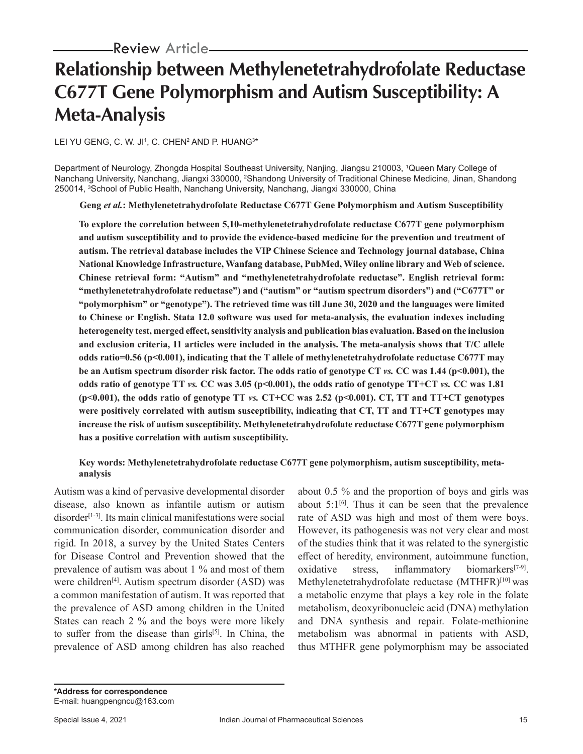# **Relationship between Methylenetetrahydrofolate Reductase C677T Gene Polymorphism and Autism Susceptibility: A Meta-Analysis**

LEI YU GENG, C. W. JI', C. CHEN<del>'</del> AND P. HUANG<sup>3\*</sup>

Department of Neurology, Zhongda Hospital Southeast University, Nanjing, Jiangsu 210003, 1 Queen Mary College of Nanchang University, Nanchang, Jiangxi 330000, <sup>2</sup>Shandong University of Traditional Chinese Medicine, Jinan, Shandong 250014, 3 School of Public Health, Nanchang University, Nanchang, Jiangxi 330000, China

**Geng** *et al.***: Methylenetetrahydrofolate Reductase C677T Gene Polymorphism and Autism Susceptibility**

**To explore the correlation between 5,10-methylenetetrahydrofolate reductase C677T gene polymorphism and autism susceptibility and to provide the evidence-based medicine for the prevention and treatment of autism. The retrieval database includes the VIP Chinese Science and Technology journal database, China National Knowledge Infrastructure, Wanfang database, PubMed, Wiley online library and Web of science. Chinese retrieval form: "Autism" and "methylenetetrahydrofolate reductase". English retrieval form: "methylenetetrahydrofolate reductase") and ("autism" or "autism spectrum disorders") and ("C677T" or "polymorphism" or "genotype"). The retrieved time was till June 30, 2020 and the languages were limited to Chinese or English. Stata 12.0 software was used for meta-analysis, the evaluation indexes including heterogeneity test, merged effect, sensitivity analysis and publication bias evaluation. Based on the inclusion and exclusion criteria, 11 articles were included in the analysis. The meta-analysis shows that T/C allele odds ratio=0.56 (p<0.001), indicating that the T allele of methylenetetrahydrofolate reductase C677T may be an Autism spectrum disorder risk factor. The odds ratio of genotype CT** *vs.* **CC was 1.44 (p<0.001), the odds ratio of genotype TT** *vs.* **CC was 3.05 (p<0.001), the odds ratio of genotype TT+CT** *vs.* **CC was 1.81 (p<0.001), the odds ratio of genotype TT** *vs.* **CT+CC was 2.52 (p<0.001). CT, TT and TT+CT genotypes were positively correlated with autism susceptibility, indicating that CT, TT and TT+CT genotypes may increase the risk of autism susceptibility. Methylenetetrahydrofolate reductase C677T gene polymorphism has a positive correlation with autism susceptibility.**

# **Key words: Methylenetetrahydrofolate reductase C677T gene polymorphism, autism susceptibility, metaanalysis**

Autism was a kind of pervasive developmental disorder disease, also known as infantile autism or autism  $disorder<sup>[1-3]</sup>$ . Its main clinical manifestations were social communication disorder, communication disorder and rigid. In 2018, a survey by the United States Centers for Disease Control and Prevention showed that the prevalence of autism was about 1 % and most of them were children<sup>[4]</sup>. Autism spectrum disorder  $(ASD)$  was a common manifestation of autism. It was reported that the prevalence of ASD among children in the United States can reach 2 % and the boys were more likely to suffer from the disease than girls $[5]$ . In China, the prevalence of ASD among children has also reached

about 0.5 % and the proportion of boys and girls was about  $5:1^{[6]}$ . Thus it can be seen that the prevalence rate of ASD was high and most of them were boys. However, its pathogenesis was not very clear and most of the studies think that it was related to the synergistic effect of heredity, environment, autoimmune function, oxidative stress, inflammatory biomarkers<sup>[7-9]</sup>. Methylenetetrahydrofolate reductase (MTHFR)<sup>[10]</sup> was a metabolic enzyme that plays a key role in the folate metabolism, deoxyribonucleic acid (DNA) methylation and DNA synthesis and repair. Folate-methionine metabolism was abnormal in patients with ASD, thus MTHFR gene polymorphism may be associated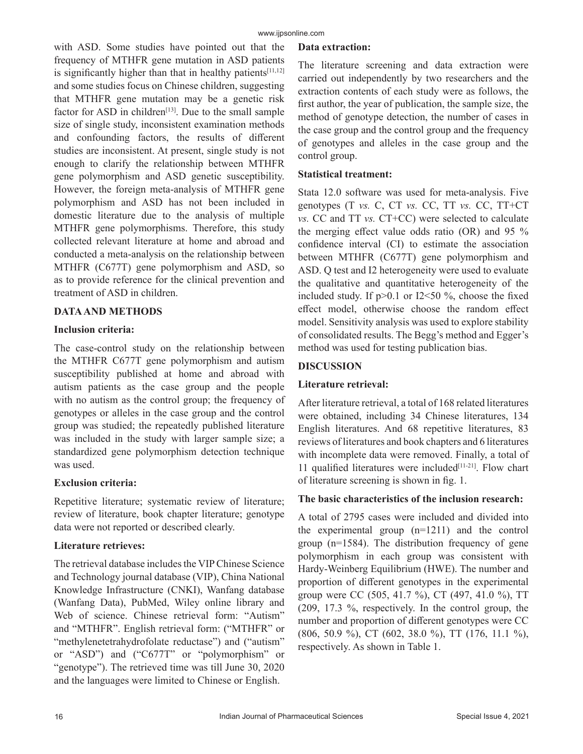with ASD. Some studies have pointed out that the frequency of MTHFR gene mutation in ASD patients is significantly higher than that in healthy patients $[11,12]$ and some studies focus on Chinese children, suggesting that MTHFR gene mutation may be a genetic risk factor for ASD in children<sup>[13]</sup>. Due to the small sample size of single study, inconsistent examination methods and confounding factors, the results of different studies are inconsistent. At present, single study is not enough to clarify the relationship between MTHFR gene polymorphism and ASD genetic susceptibility. However, the foreign meta-analysis of MTHFR gene polymorphism and ASD has not been included in domestic literature due to the analysis of multiple MTHFR gene polymorphisms. Therefore, this study collected relevant literature at home and abroad and conducted a meta-analysis on the relationship between MTHFR (C677T) gene polymorphism and ASD, so as to provide reference for the clinical prevention and treatment of ASD in children.

# **DATA AND METHODS**

# **Inclusion criteria:**

The case-control study on the relationship between the MTHFR C677T gene polymorphism and autism susceptibility published at home and abroad with autism patients as the case group and the people with no autism as the control group; the frequency of genotypes or alleles in the case group and the control group was studied; the repeatedly published literature was included in the study with larger sample size; a standardized gene polymorphism detection technique was used.

# **Exclusion criteria:**

Repetitive literature; systematic review of literature; review of literature, book chapter literature; genotype data were not reported or described clearly.

# **Literature retrieves:**

The retrieval database includes the VIP Chinese Science and Technology journal database (VIP), China National Knowledge Infrastructure (CNKI), Wanfang database (Wanfang Data), PubMed, Wiley online library and Web of science. Chinese retrieval form: "Autism" and "MTHFR". English retrieval form: ("MTHFR" or "methylenetetrahydrofolate reductase") and ("autism" or "ASD") and ("C677T" or "polymorphism" or "genotype"). The retrieved time was till June 30, 2020 and the languages were limited to Chinese or English.

#### **Data extraction:**

The literature screening and data extraction were carried out independently by two researchers and the extraction contents of each study were as follows, the first author, the year of publication, the sample size, the method of genotype detection, the number of cases in the case group and the control group and the frequency of genotypes and alleles in the case group and the control group.

#### **Statistical treatment:**

Stata 12.0 software was used for meta-analysis. Five genotypes (T *vs.* C, CT *vs.* CC, TT *vs.* CC, TT+CT *vs.* CC and TT *vs.* CT+CC) were selected to calculate the merging effect value odds ratio (OR) and 95 % confidence interval (CI) to estimate the association between MTHFR (C677T) gene polymorphism and ASD. Q test and I2 heterogeneity were used to evaluate the qualitative and quantitative heterogeneity of the included study. If  $p>0.1$  or I2<50 %, choose the fixed effect model, otherwise choose the random effect model. Sensitivity analysis was used to explore stability of consolidated results. The Begg's method and Egger's method was used for testing publication bias.

# **DISCUSSION**

# **Literature retrieval:**

After literature retrieval, a total of 168 related literatures were obtained, including 34 Chinese literatures, 134 English literatures. And 68 repetitive literatures, 83 reviews of literatures and book chapters and 6 literatures with incomplete data were removed. Finally, a total of 11 qualified literatures were included<sup>[11-21]</sup>. Flow chart of literature screening is shown in fig. 1.

# **The basic characteristics of the inclusion research:**

A total of 2795 cases were included and divided into the experimental group (n=1211) and the control group (n=1584). The distribution frequency of gene polymorphism in each group was consistent with Hardy-Weinberg Equilibrium (HWE). The number and proportion of different genotypes in the experimental group were CC (505, 41.7 %), CT (497, 41.0 %), TT (209, 17.3 %, respectively. In the control group, the number and proportion of different genotypes were CC (806, 50.9 %), CT (602, 38.0 %), TT (176, 11.1 %), respectively. As shown in Table 1.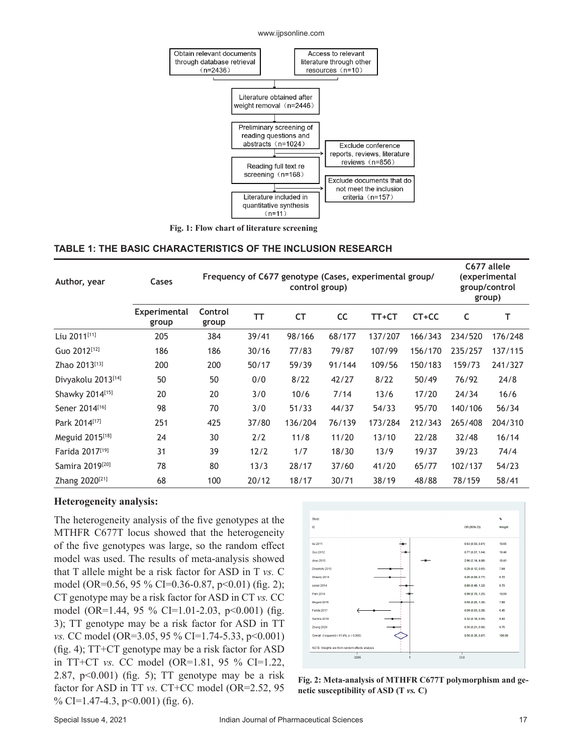www.ijpsonline.com



**Fig. 1: Flow chart of literature screening**

#### **TABLE 1: THE BASIC CHARACTERISTICS OF THE INCLUSION RESEARCH**

| Author, year                | Cases                        | Frequency of C677 genotype (Cases, experimental group/<br>control group) |       |           |           |         |         | C677 allele<br>(experimental<br>group/control<br>group) |         |
|-----------------------------|------------------------------|--------------------------------------------------------------------------|-------|-----------|-----------|---------|---------|---------------------------------------------------------|---------|
|                             | <b>Experimental</b><br>group | Control<br>group                                                         | тт    | <b>CT</b> | <b>CC</b> | TT+CT   | CT+CC   | C                                                       | т       |
| Liu 2011[11]                | 205                          | 384                                                                      | 39/41 | 98/166    | 68/177    | 137/207 | 166/343 | 234/520                                                 | 176/248 |
| Guo 2012[12]                | 186                          | 186                                                                      | 30/16 | 77/83     | 79/87     | 107/99  | 156/170 | 235/257                                                 | 137/115 |
| Zhao 2013[13]               | 200                          | 200                                                                      | 50/17 | 59/39     | 91/144    | 109/56  | 150/183 | 159/73                                                  | 241/327 |
| Divyakolu 2013[14]          | 50                           | 50                                                                       | 0/0   | 8/22      | 42/27     | 8/22    | 50/49   | 76/92                                                   | 24/8    |
| Shawky 2014[15]             | 20                           | 20                                                                       | 3/0   | 10/6      | 7/14      | 13/6    | 17/20   | 24/34                                                   | 16/6    |
| Sener 2014[16]              | 98                           | 70                                                                       | 3/0   | 51/33     | 44/37     | 54/33   | 95/70   | 140/106                                                 | 56/34   |
| Park 2014 <sup>[17]</sup>   | 251                          | 425                                                                      | 37/80 | 136/204   | 76/139    | 173/284 | 212/343 | 265/408                                                 | 204/310 |
| Meguid 2015[18]             | 24                           | 30                                                                       | 2/2   | 11/8      | 11/20     | 13/10   | 22/28   | 32/48                                                   | 16/14   |
| Farida 2017[19]             | 31                           | 39                                                                       | 12/2  | 1/7       | 18/30     | 13/9    | 19/37   | 39/23                                                   | 74/4    |
| Samira 2019 <sup>[20]</sup> | 78                           | 80                                                                       | 13/3  | 28/17     | 37/60     | 41/20   | 65/77   | 102/137                                                 | 54/23   |
| Zhang 2020 <sup>[21]</sup>  | 68                           | 100                                                                      | 20/12 | 18/17     | 30/71     | 38/19   | 48/88   | 78/159                                                  | 58/41   |

#### **Heterogeneity analysis:**

The heterogeneity analysis of the five genotypes at the MTHFR C677T locus showed that the heterogeneity of the five genotypes was large, so the random effect model was used. The results of meta-analysis showed that T allele might be a risk factor for ASD in T *vs.* C model (OR=0.56, 95 % CI=0.36-0.87, p<0.01) (fig. 2); CT genotype may be a risk factor for ASD in CT *vs.* CC model (OR=1.44, 95 % CI=1.01-2.03, p<0.001) (fig. 3); TT genotype may be a risk factor for ASD in TT *vs.* CC model (OR=3.05, 95 % CI=1.74-5.33, p<0.001) (fig. 4); TT+CT genotype may be a risk factor for ASD in TT+CT *vs.* CC model (OR=1.81, 95 % CI=1.22, 2.87,  $p<0.001$ ) (fig. 5); TT genotype may be a risk factor for ASD in TT *vs.* CT+CC model (OR=2.52, 95 % CI=1.47-4.3,  $p<0.001$ ) (fig. 6).



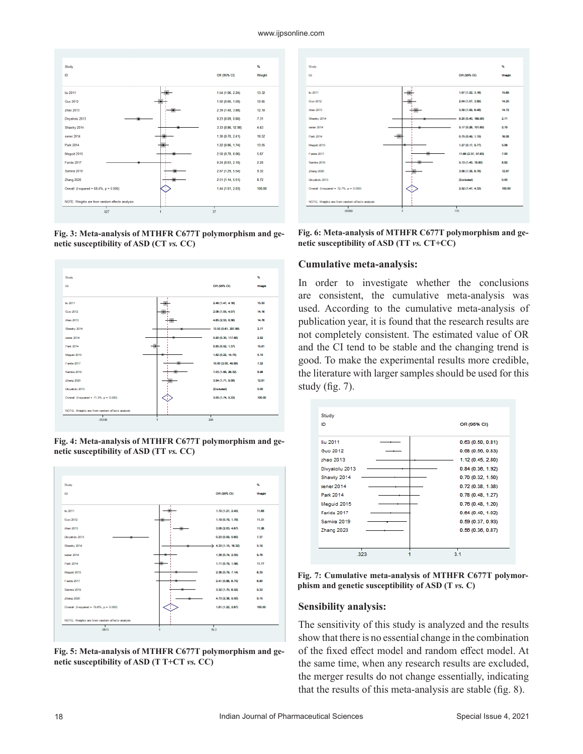

**Fig. 3: Meta-analysis of MTHFR C677T polymorphism and genetic susceptibility of ASD (CT** *vs.* **CC)**



**Fig. 4: Meta-analysis of MTHFR C677T polymorphism and genetic susceptibility of ASD (TT** *vs.* **CC)**



**Fig. 5: Meta-analysis of MTHFR C677T polymorphism and genetic susceptibility of ASD (T T+CT** *vs.* **CC)**



**Fig. 6: Meta-analysis of MTHFR C677T polymorphism and genetic susceptibility of ASD (TT** *vs.* **CT+CC)**

#### **Cumulative meta-analysis:**

In order to investigate whether the conclusions are consistent, the cumulative meta-analysis was used. According to the cumulative meta-analysis of publication year, it is found that the research results are not completely consistent. The estimated value of OR and the CI tend to be stable and the changing trend is good. To make the experimental results more credible, the literature with larger samples should be used for this study (fig. 7).



**Fig. 7: Cumulative meta-analysis of MTHFR C677T polymorphism and genetic susceptibility of ASD (T** *vs.* **C)**

#### **Sensibility analysis:**

The sensitivity of this study is analyzed and the results show that there is no essential change in the combination of the fixed effect model and random effect model. At the same time, when any research results are excluded, the merger results do not change essentially, indicating that the results of this meta-analysis are stable (fig. 8).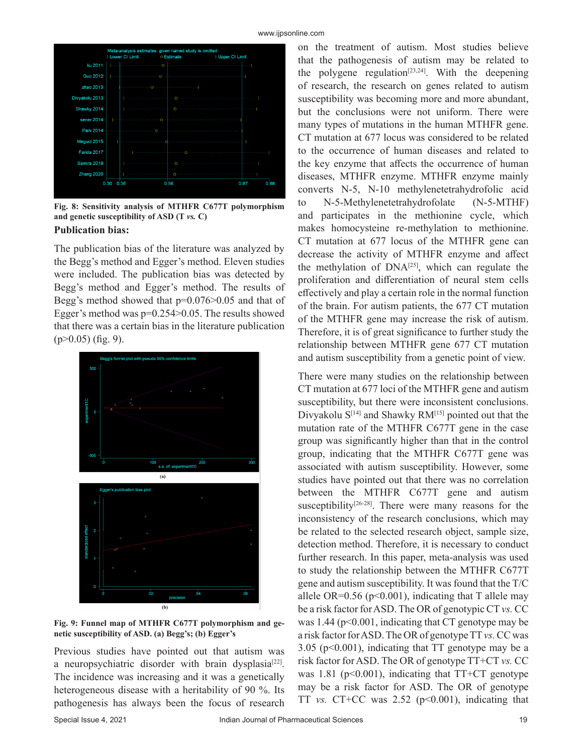

**Fig. 8: Sensitivity analysis of MTHFR C677T polymorphism and genetic susceptibility of ASD (T** *vs.* **C)**

# **Publication bias:**

The publication bias of the literature was analyzed by the Begg's method and Egger's method. Eleven studies were included. The publication bias was detected by Begg's method and Egger's method. The results of Begg's method showed that p=0.076>0.05 and that of Egger's method was p=0.254>0.05. The results showed that there was a certain bias in the literature publication  $(p>0.05)$  (fig. 9).



**Fig. 9: Funnel map of MTHFR C677T polymorphism and genetic susceptibility of ASD. (a) Begg's; (b) Egger's**

Previous studies have pointed out that autism was a neuropsychiatric disorder with brain dysplasia<sup>[22]</sup>. The incidence was increasing and it was a genetically heterogeneous disease with a heritability of 90 %. Its pathogenesis has always been the focus of research

on the treatment of autism. Most studies believe that the pathogenesis of autism may be related to the polygene regulation<sup>[23,24]</sup>. With the deepening of research, the research on genes related to autism susceptibility was becoming more and more abundant, but the conclusions were not uniform. There were many types of mutations in the human MTHFR gene. CT mutation at 677 locus was considered to be related to the occurrence of human diseases and related to the key enzyme that affects the occurrence of human diseases, MTHFR enzyme. MTHFR enzyme mainly converts N-5, N-10 methylenetetrahydrofolic acid to N-5-Methylenetetrahydrofolate (N-5-MTHF) and participates in the methionine cycle, which makes homocysteine re-methylation to methionine. CT mutation at 677 locus of the MTHFR gene can decrease the activity of MTHFR enzyme and affect the methylation of DNA[25], which can regulate the proliferation and differentiation of neural stem cells effectively and play a certain role in the normal function of the brain. For autism patients, the 677 CT mutation of the MTHFR gene may increase the risk of autism. Therefore, it is of great significance to further study the relationship between MTHFR gene 677 CT mutation and autism susceptibility from a genetic point of view.

There were many studies on the relationship between CT mutation at 677 loci of the MTHFR gene and autism susceptibility, but there were inconsistent conclusions. Divyakolu  $S^{[14]}$  and Shawky RM<sup>[15]</sup> pointed out that the mutation rate of the MTHFR C677T gene in the case group was significantly higher than that in the control group, indicating that the MTHFR C677T gene was associated with autism susceptibility. However, some studies have pointed out that there was no correlation between the MTHFR C677T gene and autism susceptibility<sup>[26-28]</sup>. There were many reasons for the inconsistency of the research conclusions, which may be related to the selected research object, sample size, detection method. Therefore, it is necessary to conduct further research. In this paper, meta-analysis was used to study the relationship between the MTHFR C677T gene and autism susceptibility. It was found that the T/C allele OR= $0.56$  (p< $0.001$ ), indicating that T allele may be a risk factor for ASD. The OR of genotypic CT *vs.* CC was  $1.44$  ( $p<0.001$ , indicating that CT genotype may be a risk factor for ASD. The OR of genotype TT *vs.* CC was 3.05 (p<0.001), indicating that TT genotype may be a risk factor for ASD. The OR of genotype TT+CT *vs.* CC was 1.81 ( $p$ <0.001), indicating that TT+CT genotype may be a risk factor for ASD. The OR of genotype TT *vs.* CT+CC was  $2.52$  ( $p<0.001$ ), indicating that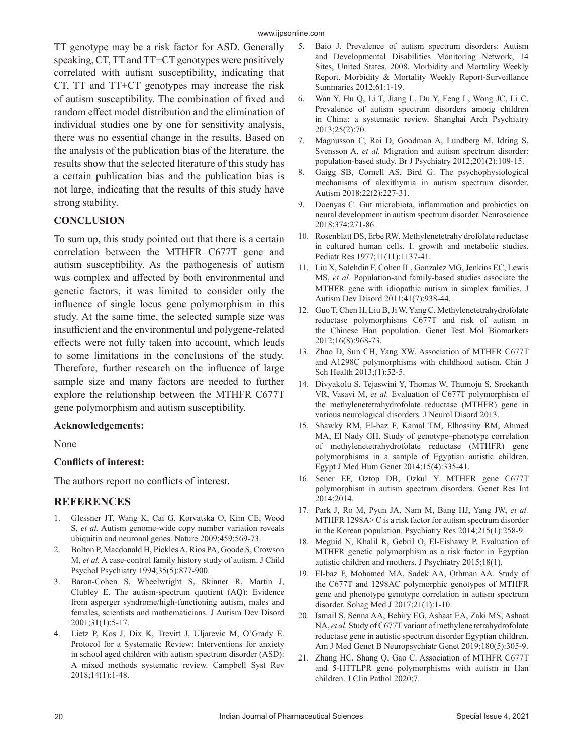TT genotype may be a risk factor for ASD. Generally speaking, CT, TT and TT+CT genotypes were positively correlated with autism susceptibility, indicating that CT, TT and TT+CT genotypes may increase the risk of autism susceptibility. The combination of fixed and random effect model distribution and the elimination of individual studies one by one for sensitivity analysis, there was no essential change in the results. Based on the analysis of the publication bias of the literature, the results show that the selected literature of this study has a certain publication bias and the publication bias is not large, indicating that the results of this study have strong stability.

# **CONCLUSION**

To sum up, this study pointed out that there is a certain correlation between the MTHFR C677T gene and autism susceptibility. As the pathogenesis of autism was complex and affected by both environmental and genetic factors, it was limited to consider only the influence of single locus gene polymorphism in this study. At the same time, the selected sample size was insufficient and the environmental and polygene-related effects were not fully taken into account, which leads to some limitations in the conclusions of the study. Therefore, further research on the influence of large sample size and many factors are needed to further explore the relationship between the MTHFR C677T gene polymorphism and autism susceptibility.

#### **Acknowledgements:**

None

# **Conflicts of interest:**

The authors report no conflicts of interest.

# **REFERENCES**

- 1. Glessner JT, Wang K, Cai G, Korvatska O, Kim CE, Wood S, *et al.* Autism genome-wide copy number variation reveals ubiquitin and neuronal genes. Nature 2009;459:569-73.
- 2. Bolton P, Macdonald H, Pickles A, Rios PA, Goode S, Crowson M, *et al.* A case‐control family history study of autism. J Child Psychol Psychiatry 1994;35(5):877-900.
- 3. Baron-Cohen S, Wheelwright S, Skinner R, Martin J, Clubley E. The autism-spectrum quotient (AQ): Evidence from asperger syndrome/high-functioning autism, males and females, scientists and mathematicians. J Autism Dev Disord 2001;31(1):5-17.
- 4. Lietz P, Kos J, Dix K, Trevitt J, Uljarevic M, O'Grady E. Protocol for a Systematic Review: Interventions for anxiety in school aged children with autism spectrum disorder (ASD): A mixed methods systematic review. Campbell Syst Rev 2018;14(1):1-48.
- 5. Baio J. Prevalence of autism spectrum disorders: Autism and Developmental Disabilities Monitoring Network, 14 Sites, United States, 2008. Morbidity and Mortality Weekly Report. Morbidity & Mortality Weekly Report-Surveillance Summaries 2012;61:1-19.
- 6. Wan Y, Hu Q, Li T, Jiang L, Du Y, Feng L, Wong JC, Li C. Prevalence of autism spectrum disorders among children in China: a systematic review. Shanghai Arch Psychiatry 2013;25(2):70.
- 7. Magnusson C, Rai D, Goodman A, Lundberg M, Idring S, Svensson A, *et al.* Migration and autism spectrum disorder: population-based study. Br J Psychiatry 2012;201(2):109-15.
- 8. Gaigg SB, Cornell AS, Bird G. The psychophysiological mechanisms of alexithymia in autism spectrum disorder. Autism 2018;22(2):227-31.
- 9. Doenyas C. Gut microbiota, inflammation and probiotics on neural development in autism spectrum disorder. Neuroscience 2018;374:271-86.
- 10. Rosenblatt DS, Erbe RW. Methylenetetrahy drofolate reductase in cultured human cells. I. growth and metabolic studies. Pediatr Res 1977;11(11):1137-41.
- 11. Liu X, Solehdin F, Cohen IL, Gonzalez MG, Jenkins EC, Lewis MS, *et al.* Population-and family-based studies associate the MTHFR gene with idiopathic autism in simplex families. J Autism Dev Disord 2011;41(7):938-44.
- 12. Guo T, Chen H, Liu B, Ji W, Yang C. Methylenetetrahydrofolate reductase polymorphisms C677T and risk of autism in the Chinese Han population. Genet Test Mol Biomarkers 2012;16(8):968-73.
- 13. Zhao D, Sun CH, Yang XW. Association of MTHFR C677T and A1298C polymorphisms with childhood autism. Chin J Sch Health 2013;(1):52-5.
- 14. Divyakolu S, Tejaswini Y, Thomas W, Thumoju S, Sreekanth VR, Vasavi M, *et al.* Evaluation of C677T polymorphism of the methylenetetrahydrofolate reductase (MTHFR) gene in various neurological disorders. J Neurol Disord 2013.
- 15. Shawky RM, El-baz F, Kamal TM, Elhossiny RM, Ahmed MA, El Nady GH. Study of genotype–phenotype correlation of methylenetetrahydrofolate reductase (MTHFR) gene polymorphisms in a sample of Egyptian autistic children. Egypt J Med Hum Genet 2014;15(4):335-41.
- 16. Sener EF, Oztop DB, Ozkul Y. MTHFR gene C677T polymorphism in autism spectrum disorders. Genet Res Int 2014;2014.
- 17. Park J, Ro M, Pyun JA, Nam M, Bang HJ, Yang JW, *et al.* MTHFR 1298A> C is a risk factor for autism spectrum disorder in the Korean population. Psychiatry Res 2014;215(1):258-9.
- 18. Meguid N, Khalil R, Gebril O, El-Fishawy P. Evaluation of MTHFR genetic polymorphism as a risk factor in Egyptian autistic children and mothers. J Psychiatry 2015;18(1).
- 19. El-baz F, Mohamed MA, Sadek AA, Othman AA. Study of the C677T and 1298AC polymorphic genotypes of MTHFR gene and phenotype genotype correlation in autism spectrum disorder. Sohag Med J 2017;21(1):1-10.
- 20. Ismail S, Senna AA, Behiry EG, Ashaat EA, Zaki MS, Ashaat NA, *et al.* Study of C677T variant of methylene tetrahydrofolate reductase gene in autistic spectrum disorder Egyptian children. Am J Med Genet B Neuropsychiatr Genet 2019;180(5):305-9.
- 21. Zhang HC, Shang Q, Gao C. Association of MTHFR C677T and 5-HTTLPR gene polymorphisms with autism in Han children. J Clin Pathol 2020;7.